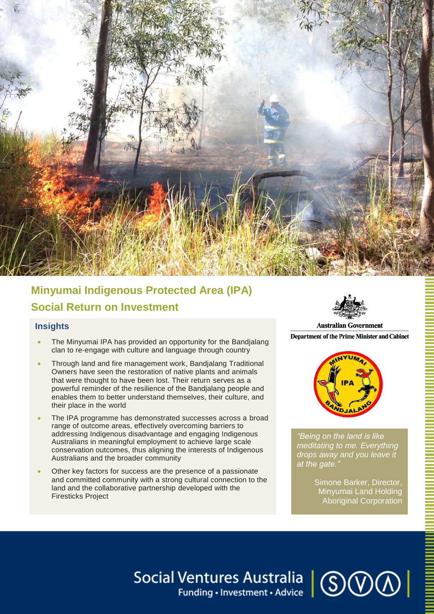

# **Minyumai Indigenous Protected Area (IPA) Social Return on Investment**

## **Insights**

- The Minyumai IPA has provided an opportunity for the Bandjalang clan to re-engage with culture and language through country
- Through land and fire management work, Bandjalang Traditional Owners have seen the restoration of native plants and animals that were thought to have been lost. Their return serves as a powerful reminder of the resilience of the Bandjalang people and enables them to better understand themselves, their culture, and their place in the world
- The IPA programme has demonstrated successes across a broad range of outcome areas, effectively overcoming barriers to addressing Indigenous disadvantage and engaging Indigenous Australians in meaningful employment to achieve large scale conservation outcomes, thus aligning the interests of Indigenous Australians and the broader community
- Other key factors for success are the presence of a passionate and committed community with a strong cultural connection to the land and the collaborative partnership developed with the Firesticks Project



**Department of the Prime Minister and Cabinet** 



*"Being on the land is like meditating to me. Everything drops away and you leave it at the gate."*

> Simone Barker, Director, Minyumai Land Holding Aboriginal Corporation

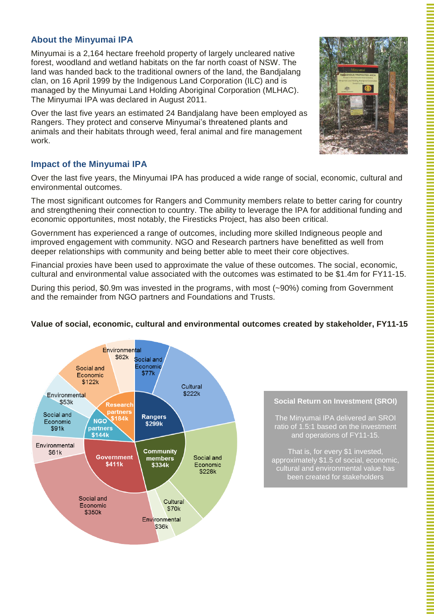# **About the Minyumai IPA**

Minyumai is a 2,164 hectare freehold property of largely uncleared native forest, woodland and wetland habitats on the far north coast of NSW. The land was handed back to the traditional owners of the land, the Bandjalang clan, on 16 April 1999 by the Indigenous Land Corporation (ILC) and is managed by the Minyumai Land Holding Aboriginal Corporation (MLHAC). The Minyumai IPA was declared in August 2011.

Over the last five years an estimated 24 Bandjalang have been employed as Rangers. They protect and conserve Minyumai's threatened plants and animals and their habitats through weed, feral animal and fire management work.

## **Impact of the Minyumai IPA**

Over the last five years, the Minyumai IPA has produced a wide range of social, economic, cultural and environmental outcomes.

The most significant outcomes for Rangers and Community members relate to better caring for country and strengthening their connection to country. The ability to leverage the IPA for additional funding and economic opportunites, most notably, the Firesticks Project, has also been critical.

Government has experienced a range of outcomes, including more skilled Indigneous people and improved engagement with community. NGO and Research partners have benefitted as well from deeper relationships with community and being better able to meet their core objectives.

Financial proxies have been used to approximate the value of these outcomes. The social, economic, cultural and environmental value associated with the outcomes was estimated to be \$1.4m for FY11-15.

During this period, \$0.9m was invested in the programs, with most (~90%) coming from Government and the remainder from NGO partners and Foundations and Trusts.



# **Value of social, economic, cultural and environmental outcomes created by stakeholder, FY11-15**

#### **Social Return on Investment (SROI)**

The Minyumai IPA delivered an SROI ratio of 1.5:1 based on the investment and operations of FY11-15.

That is, for every \$1 invested, approximately \$1.5 of social, economic, cultural and environmental value has been created for stakeholders